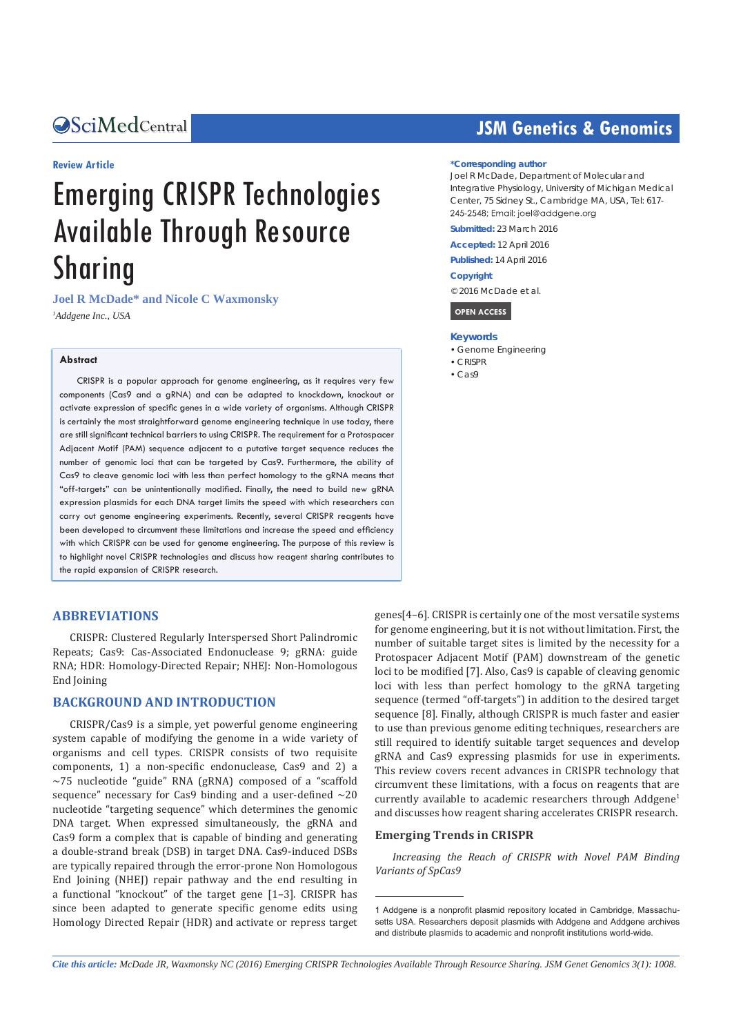#### **Review Article**

# Emerging CRISPR Technologies Available Through Resource Sharing

**Joel R McDade\* and Nicole C Waxmonsky** *1 Addgene Inc., USA*

#### **Abstract**

CRISPR is a popular approach for genome engineering, as it requires very few components (Cas9 and a gRNA) and can be adapted to knockdown, knockout or activate expression of specific genes in a wide variety of organisms. Although CRISPR is certainly the most straightforward genome engineering technique in use today, there are still significant technical barriers to using CRISPR. The requirement for a Protospacer Adjacent Motif (PAM) sequence adjacent to a putative target sequence reduces the number of genomic loci that can be targeted by Cas9. Furthermore, the ability of Cas9 to cleave genomic loci with less than perfect homology to the gRNA means that "off-targets" can be unintentionally modified. Finally, the need to build new gRNA expression plasmids for each DNA target limits the speed with which researchers can carry out genome engineering experiments. Recently, several CRISPR reagents have been developed to circumvent these limitations and increase the speed and efficiency with which CRISPR can be used for genome engineering. The purpose of this review is to highlight novel CRISPR technologies and discuss how reagent sharing contributes to the rapid expansion of CRISPR research.

#### **ABBREVIATIONS**

CRISPR: Clustered Regularly Interspersed Short Palindromic Repeats; Cas9: Cas-Associated Endonuclease 9; gRNA: guide RNA; HDR: Homology-Directed Repair; NHEJ: Non-Homologous End Joining

#### **BACKGROUND AND INTRODUCTION**

CRISPR/Cas9 is a simple, yet powerful genome engineering system capable of modifying the genome in a wide variety of organisms and cell types. CRISPR consists of two requisite components, 1) a non-specific endonuclease, Cas9 and 2) a ~75 nucleotide "guide" RNA (gRNA) composed of a "scaffold sequence" necessary for Cas9 binding and a user-defined  $\sim$ 20 nucleotide "targeting sequence" which determines the genomic DNA target. When expressed simultaneously, the gRNA and Cas9 form a complex that is capable of binding and generating a double-strand break (DSB) in target DNA. Cas9-induced DSBs are typically repaired through the error-prone Non Homologous End Joining (NHEJ) repair pathway and the end resulting in a functional "knockout" of the target gene [1–3]. CRISPR has since been adapted to generate specific genome edits using Homology Directed Repair (HDR) and activate or repress target

## **OSciMedCentral CENTRAL CENTRAL CENTRAL CENTRAL CENTRAL CENTRAL CENTRAL CENTRAL CENTRAL CENTRAL CENTRAL CENTRAL CENTRAL CENTRAL CENTRAL CENTRAL CENTRAL CENTRAL CENTRAL CENTRAL CENTRAL CENTRAL CENTRAL CENTRAL CENTRAL CENTRA**

#### **\*Corresponding author**

Joel R McDade, Department of Molecular and Integrative Physiology, University of Michigan Medical Center, 75 Sidney St., Cambridge MA, USA, Tel: 617- 245-2548; Email: joel@addgene.org

**Submitted:** 23 March 2016

**Accepted:** 12 April 2016

**Published:** 14 April 2016

#### **Copyright**

© 2016 McDade et al.



#### **Keywords**

- • Genome Engineering
- • CRISPR
- $\cdot$  Cas9

genes[4–6]. CRISPR is certainly one of the most versatile systems for genome engineering, but it is not without limitation. First, the number of suitable target sites is limited by the necessity for a Protospacer Adjacent Motif (PAM) downstream of the genetic loci to be modified [7]. Also, Cas9 is capable of cleaving genomic loci with less than perfect homology to the gRNA targeting sequence (termed "off-targets") in addition to the desired target sequence [8]. Finally, although CRISPR is much faster and easier to use than previous genome editing techniques, researchers are still required to identify suitable target sequences and develop gRNA and Cas9 expressing plasmids for use in experiments. This review covers recent advances in CRISPR technology that circumvent these limitations, with a focus on reagents that are currently available to academic researchers through Addgene<sup>1</sup> and discusses how reagent sharing accelerates CRISPR research.

#### **Emerging Trends in CRISPR**

*Increasing the Reach of CRISPR with Novel PAM Binding Variants of SpCas9*

*Cite this article: McDade JR, Waxmonsky NC (2016) Emerging CRISPR Technologies Available Through Resource Sharing. JSM Genet Genomics 3(1): 1008.*

<sup>1</sup> Addgene is a nonprofit plasmid repository located in Cambridge, Massachusetts USA. Researchers deposit plasmids with Addgene and Addgene archives and distribute plasmids to academic and nonprofit institutions world-wide.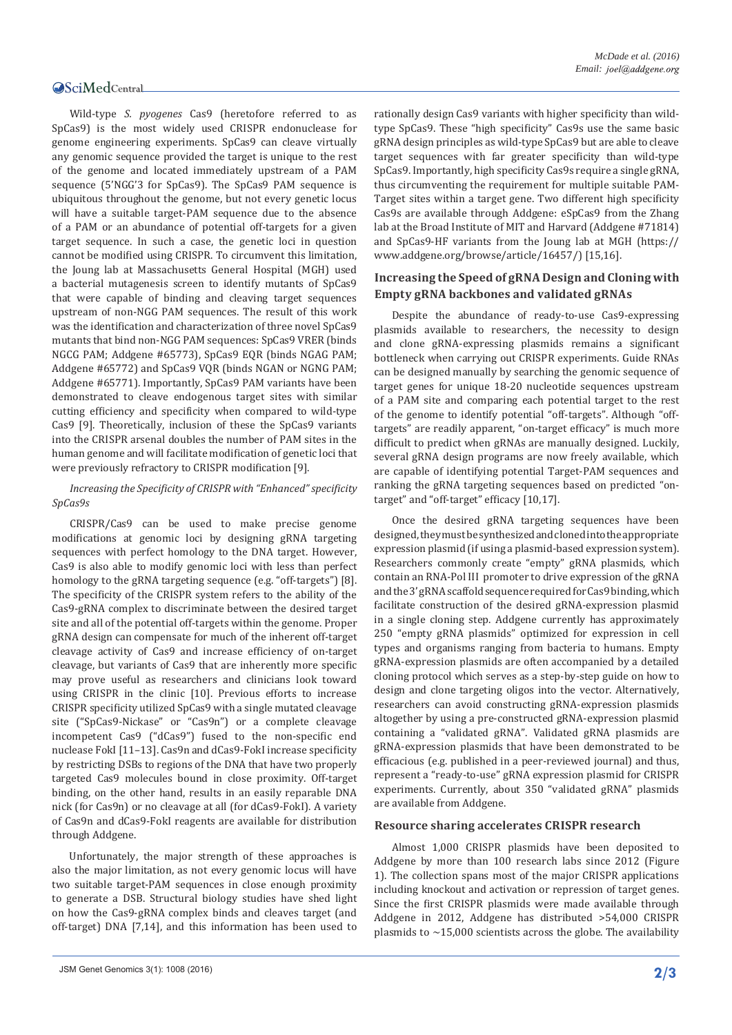#### **OSciMedCentral**

Wild-type *S. pyogenes* Cas9 (heretofore referred to as SpCas9) is the most widely used CRISPR endonuclease for genome engineering experiments. SpCas9 can cleave virtually any genomic sequence provided the target is unique to the rest of the genome and located immediately upstream of a PAM sequence (5'NGG'3 for SpCas9). The SpCas9 PAM sequence is ubiquitous throughout the genome, but not every genetic locus will have a suitable target-PAM sequence due to the absence of a PAM or an abundance of potential off-targets for a given target sequence. In such a case, the genetic loci in question cannot be modified using CRISPR. To circumvent this limitation, the Joung lab at Massachusetts General Hospital (MGH) used a bacterial mutagenesis screen to identify mutants of SpCas9 that were capable of binding and cleaving target sequences upstream of non-NGG PAM sequences. The result of this work was the identification and characterization of three novel SpCas9 mutants that bind non-NGG PAM sequences: SpCas9 VRER (binds NGCG PAM; [Addgene #65773](https://www.addgene.org/65773/)), SpCas9 EQR (binds NGAG PAM; [Addgene #65772](https://www.addgene.org/65772/)) and SpCas9 VQR (binds NGAN or NGNG PAM; [Addgene #65771](https://www.addgene.org/65771/)). Importantly, SpCas9 PAM variants have been demonstrated to cleave endogenous target sites with similar cutting efficiency and specificity when compared to wild-type Cas9 [9]. Theoretically, inclusion of these the SpCas9 variants into the CRISPR arsenal doubles the number of PAM sites in the human genome and will facilitate modification of genetic loci that were previously refractory to CRISPR modification [9].

#### *Increasing the Specificity of CRISPR with "Enhanced" specificity SpCas9s*

CRISPR/Cas9 can be used to make precise genome modifications at genomic loci by designing gRNA targeting sequences with perfect homology to the DNA target. However, Cas9 is also able to modify genomic loci with less than perfect homology to the gRNA targeting sequence (e.g. "off-targets") [8]. The specificity of the CRISPR system refers to the ability of the Cas9-gRNA complex to discriminate between the desired target site and all of the potential off-targets within the genome. Proper gRNA design can compensate for much of the inherent off-target cleavage activity of Cas9 and increase efficiency of on-target cleavage, but variants of Cas9 that are inherently more specific may prove useful as researchers and clinicians look toward using CRISPR in the clinic [10]. Previous efforts to increase CRISPR specificity utilized SpCas9 with a single mutated cleavage site ("SpCas9-Nickase" or "Cas9n") or a complete cleavage incompetent Cas9 ("dCas9") fused to the non-specific end nuclease FokI [11–13]. Cas9n and dCas9-FokI increase specificity by restricting DSBs to regions of the DNA that have two properly targeted Cas9 molecules bound in close proximity. Off-target binding, on the other hand, results in an easily reparable DNA nick (for Cas9n) or no cleavage at all (for dCas9-FokI). A variety of [Cas9n](https://www.addgene.org/crispr/nick/) and [dCas9-FokI](https://www.addgene.org/crispr/dcas9foki/) reagents are available for distribution through Addgene.

Unfortunately, the major strength of these approaches is also the major limitation, as not every genomic locus will have two suitable target-PAM sequences in close enough proximity to generate a DSB. Structural biology studies have shed light on how the Cas9-gRNA complex binds and cleaves target (and off-target) DNA [7,14], and this information has been used to rationally design Cas9 variants with higher specificity than wildtype SpCas9. These "high specificity" Cas9s use the same basic gRNA design principles as wild-type SpCas9 but are able to cleave target sequences with far greater specificity than wild-type SpCas9. Importantly, high specificity Cas9s require a single gRNA, thus circumventing the requirement for multiple suitable PAM-Target sites within a target gene. Two different high specificity Cas9s are available through Addgene: eSpCas9 from the Zhang lab at the Broad Institute of MIT and Harvard [\(Addgene #71814](https://www.addgene.org/71814/)) and SpCas9-HF variants from the Joung lab at MGH ([https://](https://www.addgene.org/browse/article/16457/) [www.addgene.org/browse/article/16457/\)](https://www.addgene.org/browse/article/16457/) [15,16].

#### **Increasing the Speed of gRNA Design and Cloning with Empty gRNA backbones and validated gRNAs**

Despite the abundance of ready-to-use Cas9-expressing plasmids available to researchers, the necessity to design and clone gRNA-expressing plasmids remains a significant bottleneck when carrying out CRISPR experiments. Guide RNAs can be designed manually by searching the genomic sequence of target genes for unique 18-20 nucleotide sequences upstream of a PAM site and comparing each potential target to the rest of the genome to identify potential "off-targets". Although "offtargets" are readily apparent, "on-target efficacy" is much more difficult to predict when gRNAs are manually designed. Luckily, several gRNA design programs are now freely available, which are capable of identifying potential Target-PAM sequences and ranking the gRNA targeting sequences based on predicted "ontarget" and "off-target" efficacy [10,17].

Once the desired gRNA targeting sequences have been designed, they must be synthesized and cloned into the appropriate expression plasmid (if using a plasmid-based expression system). Researchers commonly create "empty" gRNA plasmids, which contain an RNA-Pol III promoter to drive expression of the gRNA and the 3' gRNA scaffold sequence required for Cas9 binding, which facilitate construction of the desired gRNA-expression plasmid in a single cloning step. Addgene currently has approximately 250 ["empty gRNA plasmids"](https://www.addgene.org/crispr/empty-grna-vectors/) optimized for expression in cell types and organisms ranging from bacteria to humans. Empty gRNA-expression plasmids are often accompanied by a detailed cloning protocol which serves as a step-by-step guide on how to design and clone targeting oligos into the vector. Alternatively, researchers can avoid constructing gRNA-expression plasmids altogether by using a pre-constructed gRNA-expression plasmid containing a "validated gRNA". [Validated gRNA plasmids](https://www.addgene.org/crispr/validated-grnas/) are gRNA-expression plasmids that have been demonstrated to be efficacious (e.g. published in a peer-reviewed journal) and thus, represent a "ready-to-use" gRNA expression plasmid for CRISPR experiments. Currently, about 350 "validated gRNA" plasmids are available from Addgene.

#### **Resource sharing accelerates CRISPR research**

Almost 1,000 CRISPR plasmids have been deposited to Addgene by more than 100 research labs since 2012 (Figure 1). The collection spans most of the major CRISPR applications including knockout and activation or repression of target genes. Since the first CRISPR plasmids were made available through Addgene in 2012, Addgene has distributed >54,000 CRISPR plasmids to  $\sim$ 15,000 scientists across the globe. The availability